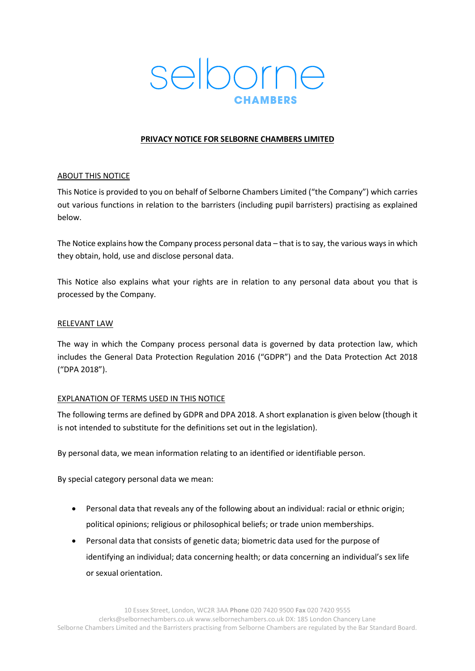

## **PRIVACY NOTICE FOR SELBORNE CHAMBERS LIMITED**

#### ABOUT THIS NOTICE

This Notice is provided to you on behalf of Selborne Chambers Limited ("the Company") which carries out various functions in relation to the barristers (including pupil barristers) practising as explained below.

The Notice explains how the Company process personal data - that is to say, the various ways in which they obtain, hold, use and disclose personal data.

This Notice also explains what your rights are in relation to any personal data about you that is processed by the Company.

#### RELEVANT LAW

The way in which the Company process personal data is governed by data protection law, which includes the General Data Protection Regulation 2016 ("GDPR") and the Data Protection Act 2018 ("DPA 2018").

#### EXPLANATION OF TERMS USED IN THIS NOTICE

The following terms are defined by GDPR and DPA 2018. A short explanation is given below (though it is not intended to substitute for the definitions set out in the legislation).

By personal data, we mean information relating to an identified or identifiable person.

By special category personal data we mean:

- Personal data that reveals any of the following about an individual: racial or ethnic origin; political opinions; religious or philosophical beliefs; or trade union memberships.
- Personal data that consists of genetic data; biometric data used for the purpose of identifying an individual; data concerning health; or data concerning an individual's sex life or sexual orientation.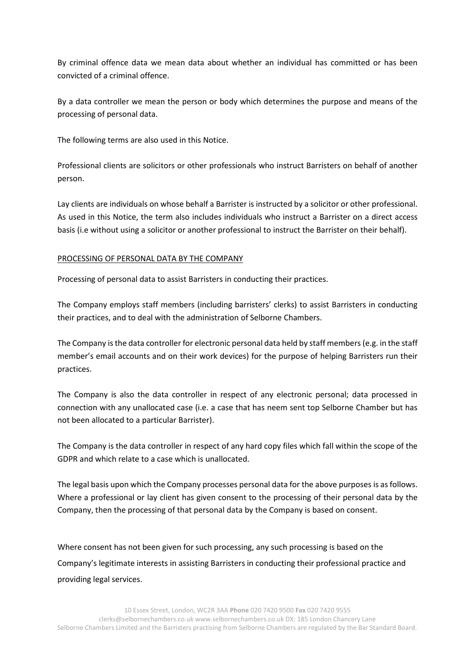By criminal offence data we mean data about whether an individual has committed or has been convicted of a criminal offence.

By a data controller we mean the person or body which determines the purpose and means of the processing of personal data.

The following terms are also used in this Notice.

Professional clients are solicitors or other professionals who instruct Barristers on behalf of another person.

Lay clients are individuals on whose behalf a Barrister is instructed by a solicitor or other professional. As used in this Notice, the term also includes individuals who instruct a Barrister on a direct access basis (i.e without using a solicitor or another professional to instruct the Barrister on their behalf).

### PROCESSING OF PERSONAL DATA BY THE COMPANY

Processing of personal data to assist Barristers in conducting their practices.

The Company employs staff members (including barristers' clerks) to assist Barristers in conducting their practices, and to deal with the administration of Selborne Chambers.

The Company isthe data controller for electronic personal data held by staff members(e.g. in the staff member's email accounts and on their work devices) for the purpose of helping Barristers run their practices.

The Company is also the data controller in respect of any electronic personal; data processed in connection with any unallocated case (i.e. a case that has neem sent top Selborne Chamber but has not been allocated to a particular Barrister).

The Company is the data controller in respect of any hard copy files which fall within the scope of the GDPR and which relate to a case which is unallocated.

The legal basis upon which the Company processes personal data for the above purposes is as follows. Where a professional or lay client has given consent to the processing of their personal data by the Company, then the processing of that personal data by the Company is based on consent.

Where consent has not been given for such processing, any such processing is based on the Company's legitimate interests in assisting Barristers in conducting their professional practice and providing legal services.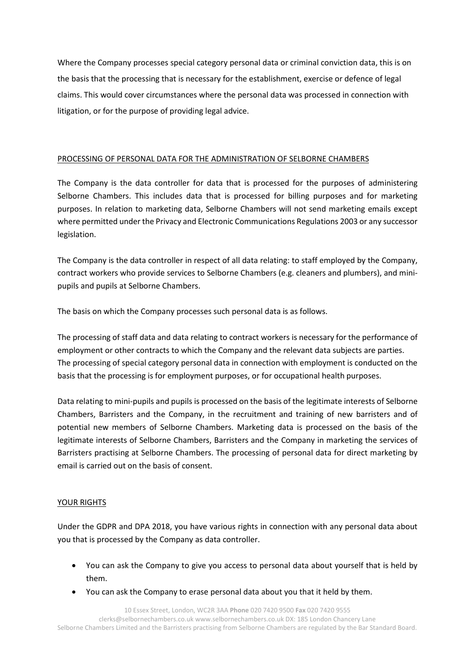Where the Company processes special category personal data or criminal conviction data, this is on the basis that the processing that is necessary for the establishment, exercise or defence of legal claims. This would cover circumstances where the personal data was processed in connection with litigation, or for the purpose of providing legal advice.

### PROCESSING OF PERSONAL DATA FOR THE ADMINISTRATION OF SELBORNE CHAMBERS

The Company is the data controller for data that is processed for the purposes of administering Selborne Chambers. This includes data that is processed for billing purposes and for marketing purposes. In relation to marketing data, Selborne Chambers will not send marketing emails except where permitted under the Privacy and Electronic Communications Regulations 2003 or any successor legislation.

The Company is the data controller in respect of all data relating: to staff employed by the Company, contract workers who provide services to Selborne Chambers (e.g. cleaners and plumbers), and minipupils and pupils at Selborne Chambers.

The basis on which the Company processes such personal data is as follows.

The processing of staff data and data relating to contract workers is necessary for the performance of employment or other contracts to which the Company and the relevant data subjects are parties. The processing of special category personal data in connection with employment is conducted on the basis that the processing is for employment purposes, or for occupational health purposes.

Data relating to mini-pupils and pupils is processed on the basis of the legitimate interests of Selborne Chambers, Barristers and the Company, in the recruitment and training of new barristers and of potential new members of Selborne Chambers. Marketing data is processed on the basis of the legitimate interests of Selborne Chambers, Barristers and the Company in marketing the services of Barristers practising at Selborne Chambers. The processing of personal data for direct marketing by email is carried out on the basis of consent.

# YOUR RIGHTS

Under the GDPR and DPA 2018, you have various rights in connection with any personal data about you that is processed by the Company as data controller.

- You can ask the Company to give you access to personal data about yourself that is held by them.
- You can ask the Company to erase personal data about you that it held by them.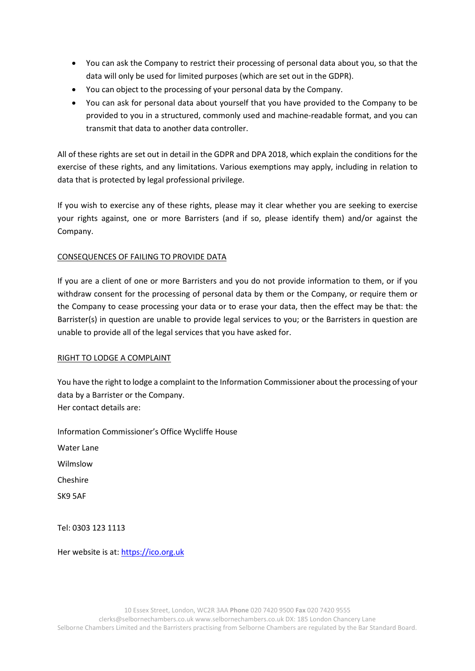- You can ask the Company to restrict their processing of personal data about you, so that the data will only be used for limited purposes (which are set out in the GDPR).
- You can object to the processing of your personal data by the Company.
- You can ask for personal data about yourself that you have provided to the Company to be provided to you in a structured, commonly used and machine-readable format, and you can transmit that data to another data controller.

All of these rights are set out in detail in the GDPR and DPA 2018, which explain the conditions for the exercise of these rights, and any limitations. Various exemptions may apply, including in relation to data that is protected by legal professional privilege.

If you wish to exercise any of these rights, please may it clear whether you are seeking to exercise your rights against, one or more Barristers (and if so, please identify them) and/or against the Company.

### CONSEQUENCES OF FAILING TO PROVIDE DATA

If you are a client of one or more Barristers and you do not provide information to them, or if you withdraw consent for the processing of personal data by them or the Company, or require them or the Company to cease processing your data or to erase your data, then the effect may be that: the Barrister(s) in question are unable to provide legal services to you; or the Barristers in question are unable to provide all of the legal services that you have asked for.

#### RIGHT TO LODGE A COMPLAINT

You have the right to lodge a complaint to the Information Commissioner about the processing of your data by a Barrister or the Company. Her contact details are:

Information Commissioner's Office Wycliffe House

Water Lane

Wilmslow

Cheshire

SK9 5AF

Tel: 0303 123 1113

Her website is at: [https://ico.org.uk](https://ico.org.uk/)